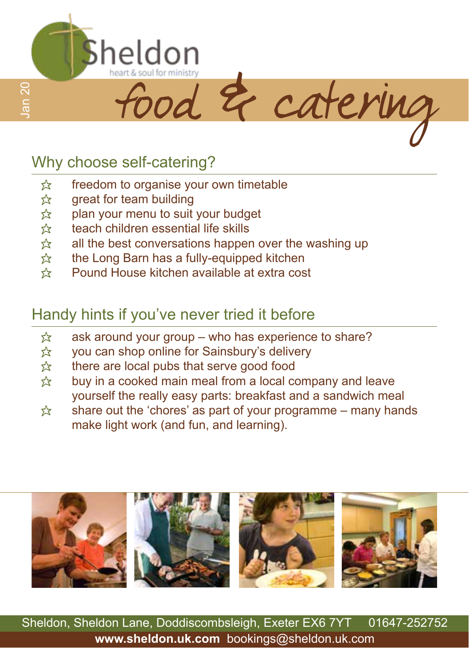

### Why choose self-catering?

- $\hat{\mathbb{X}}$  freedom to organise your own timetable<br> $\hat{\mathbb{X}}$  great for team building
- $\hat{\mathbb{X}}$  great for team building<br> $\hat{\mathbb{X}}$  plan your menu to suit
- $\hat{\mathbb{X}}$  plan your menu to suit your budget<br> $\hat{\mathbb{X}}$  teach children essential life skills
- $\hat{\mathbb{X}}$  teach children essential life skills<br> $\hat{\mathbb{X}}$  all the best conversations happer
- $\hat{\mathbf{x}}$  all the best conversations happen over the washing up  $\hat{\mathbf{x}}$  the Long Barn has a fully-equipped kitchen
- $\hat{\mathbb{X}}$  the Long Barn has a fully-equipped kitchen<br>  $\hat{\mathbb{X}}$  Pound House kitchen available at extra cos
- Pound House kitchen available at extra cost

## Handy hints if you've never tried it before

- <del>☆</del> ask around your group who has experience to share?<br>☆ vou can shop online for Sainsbury's delivery
- you can shop online for Sainsbury's delivery
- $\hat{\chi}$  there are local pubs that serve good food  $\hat{\chi}$  buv in a cooked main meal from a local co
- buy in a cooked main meal from a local company and leave yourself the really easy parts: breakfast and a sandwich meal
- $\hat{\mathbb{X}}$  share out the 'chores' as part of your programme many hands make light work (and fun, and learning).



Sheldon, Sheldon Lane, Doddiscombsleigh, Exeter EX6 7YT 01647-252752 **www.sheldon.uk.com** bookings@sheldon.uk.com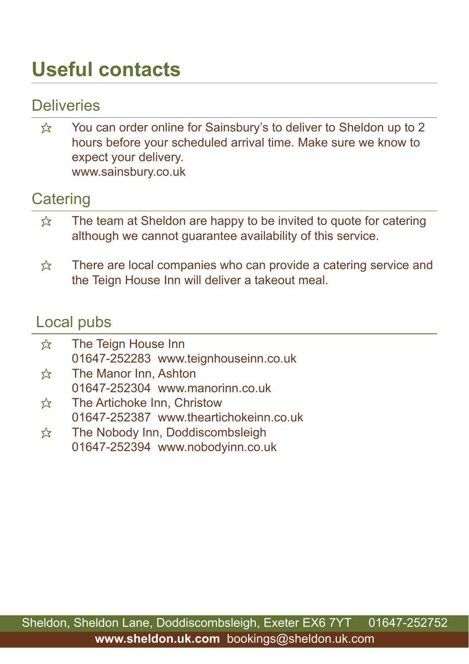# **Useful contacts**

### **Deliveries**

 $\hat{\mathbb{X}}$  You can order online for Sainsbury's to deliver to Sheldon up to 2 hours before your scheduled arrival time. Make sure we know to expect your delivery. www.sainsbury.co.uk

### **Catering**

- $\frac{1}{2}$  The team at Sheldon are happy to be invited to quote for catering although we cannot guarantee availability of this service.
- $\hat{\mathbb{X}}$  There are local companies who can provide a catering service and the Teign House Inn will deliver a takeout meal.

#### Local pubs

| ☆ | The Teign House Inn                    |
|---|----------------------------------------|
|   | 01647-252283 www.teignhouseinn.co.uk   |
| ☆ | The Manor Inn, Ashton                  |
|   | 01647-252304 www.manorinn.co.uk        |
| ☆ | The Artichoke Inn, Christow            |
|   | 01647-252387 www.theartichokeinn.co.uk |
|   |                                        |

 $\hat{\mathcal{R}}$  The Nobody Inn, Doddiscombsleigh 01647-252394 www.nobodyinn.co.uk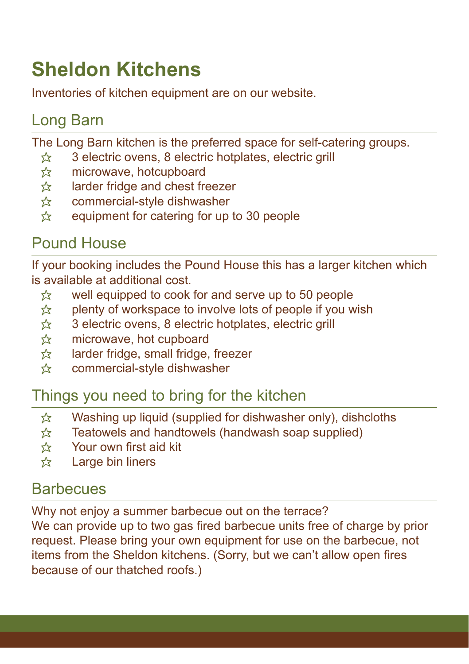# **Sheldon Kitchens**

Inventories of kitchen equipment are on our website.

### Long Barn

The Long Barn kitchen is the preferred space for self-catering groups.

- $\hat{\mathbb{R}}$  3 electric ovens, 8 electric hotplates, electric grill
- $\hat{\mathbb{X}}$  microwave, hotcupboard<br> $\hat{\mathbb{X}}$  larder fridge and chest fre
- larder fridge and chest freezer
- $\hat{\mathbb{X}}$  commercial-style dishwasher<br> $\hat{\mathbb{X}}$  equipment for catering for up
- equipment for catering for up to 30 people

### Pound House

If your booking includes the Pound House this has a larger kitchen which is available at additional cost.

- $\&$  well equipped to cook for and serve up to 50 people
- $\hat{\mathbb{X}}$  plenty of workspace to involve lots of people if you wish
- $\hat{\mathbb{X}}$  3 electric ovens, 8 electric hotplates, electric grill<br> $\hat{\mathbb{X}}$  microwave, hot cupboard
- microwave, hot cupboard
- <del>☆</del> larder fridge, small fridge, freezer<br>☆ commercial-style dishwasher
- commercial-style dishwasher

### Things you need to bring for the kitchen

- $\hat{x}$  Washing up liquid (supplied for dishwasher only), dishcloths
- $\hat{\mathbb{X}}$  Teatowels and handtowels (handwash soap supplied)
- $\hat{x}$  Your own first aid kit
- $\hat{\mathbb{X}}$  Large bin liners

### **Barbecues**

Why not enjoy a summer barbecue out on the terrace? We can provide up to two gas fired barbecue units free of charge by prior request. Please bring your own equipment for use on the barbecue, not items from the Sheldon kitchens. (Sorry, but we can't allow open fires because of our thatched roofs.)